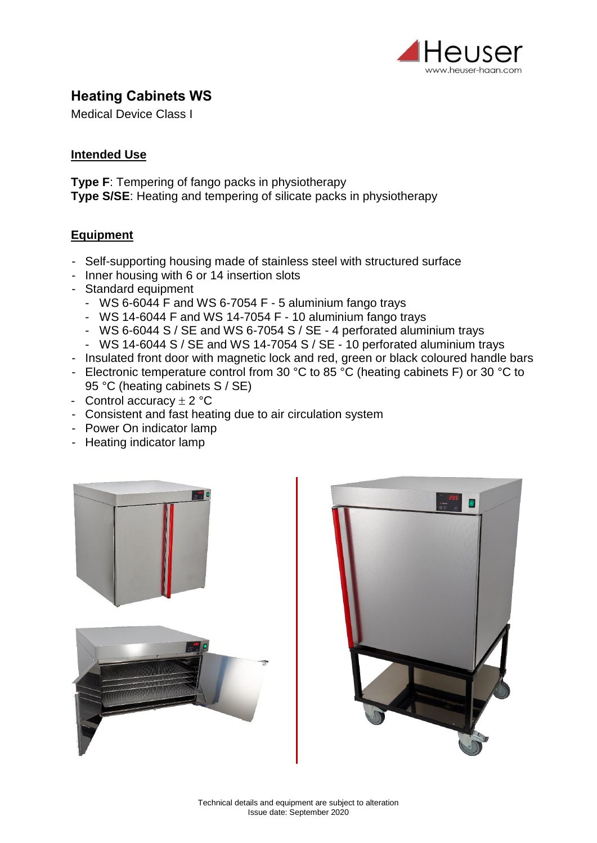

# **Heating Cabinets WS**

Medical Device Class I

#### **Intended Use**

**Type F**: Tempering of fango packs in physiotherapy **Type S/SE**: Heating and tempering of silicate packs in physiotherapy

#### **Equipment**

- Self-supporting housing made of stainless steel with structured surface
- Inner housing with 6 or 14 insertion slots
- Standard equipment
	- WS 6-6044 F and WS 6-7054 F 5 aluminium fango trays
	- WS 14-6044 F and WS 14-7054 F 10 aluminium fango trays
	- WS 6-6044 S / SE and WS 6-7054 S / SE 4 perforated aluminium trays
	- WS 14-6044 S / SE and WS 14-7054 S / SE 10 perforated aluminium trays
- Insulated front door with magnetic lock and red, green or black coloured handle bars
- Electronic temperature control from 30 °C to 85 °C (heating cabinets F) or 30 °C to 95 °C (heating cabinets S / SE)
- Control accuracy  $\pm 2$  °C
- Consistent and fast heating due to air circulation system
- Power On indicator lamp
- Heating indicator lamp



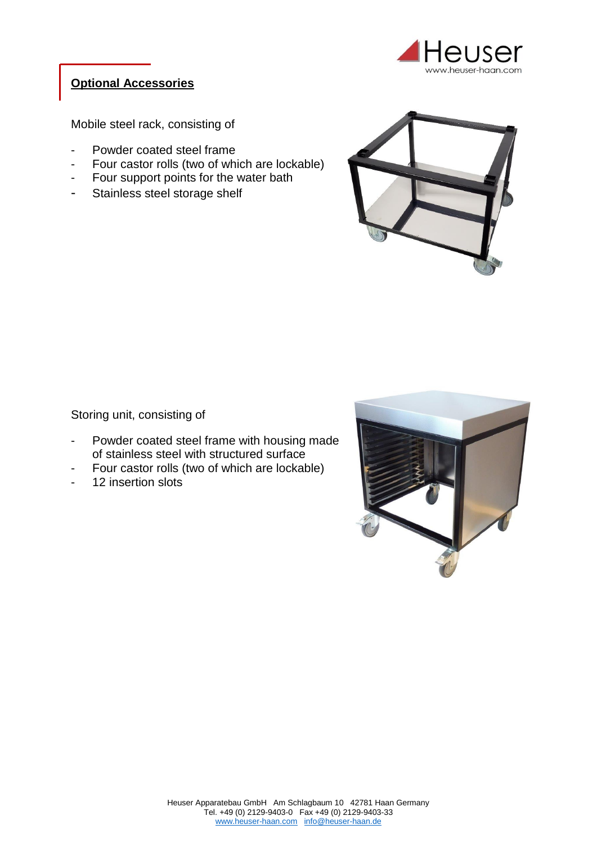

## **Optional Accessories**

Mobile steel rack, consisting of

- Powder coated steel frame
- Four castor rolls (two of which are lockable)
- Four support points for the water bath
- Stainless steel storage shelf



Storing unit, consisting of

- Powder coated steel frame with housing made of stainless steel with structured surface
- Four castor rolls (two of which are lockable)
- 12 insertion slots